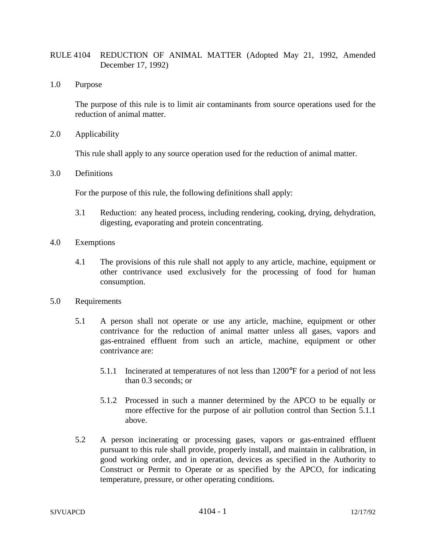## RULE 4104 REDUCTION OF ANIMAL MATTER (Adopted May 21, 1992, Amended December 17, 1992)

1.0 Purpose

The purpose of this rule is to limit air contaminants from source operations used for the reduction of animal matter.

2.0 Applicability

This rule shall apply to any source operation used for the reduction of animal matter.

3.0 Definitions

For the purpose of this rule, the following definitions shall apply:

- 3.1 Reduction: any heated process, including rendering, cooking, drying, dehydration, digesting, evaporating and protein concentrating.
- 4.0 Exemptions
	- 4.1 The provisions of this rule shall not apply to any article, machine, equipment or other contrivance used exclusively for the processing of food for human consumption.
- 5.0 Requirements
	- 5.1 A person shall not operate or use any article, machine, equipment or other contrivance for the reduction of animal matter unless all gases, vapors and gas-entrained effluent from such an article, machine, equipment or other contrivance are:
		- 5.1.1 Incinerated at temperatures of not less than 1200°F for a period of not less than 0.3 seconds; or
		- 5.1.2 Processed in such a manner determined by the APCO to be equally or more effective for the purpose of air pollution control than Section 5.1.1 above.
	- 5.2 A person incinerating or processing gases, vapors or gas-entrained effluent pursuant to this rule shall provide, properly install, and maintain in calibration, in good working order, and in operation, devices as specified in the Authority to Construct or Permit to Operate or as specified by the APCO, for indicating temperature, pressure, or other operating conditions.